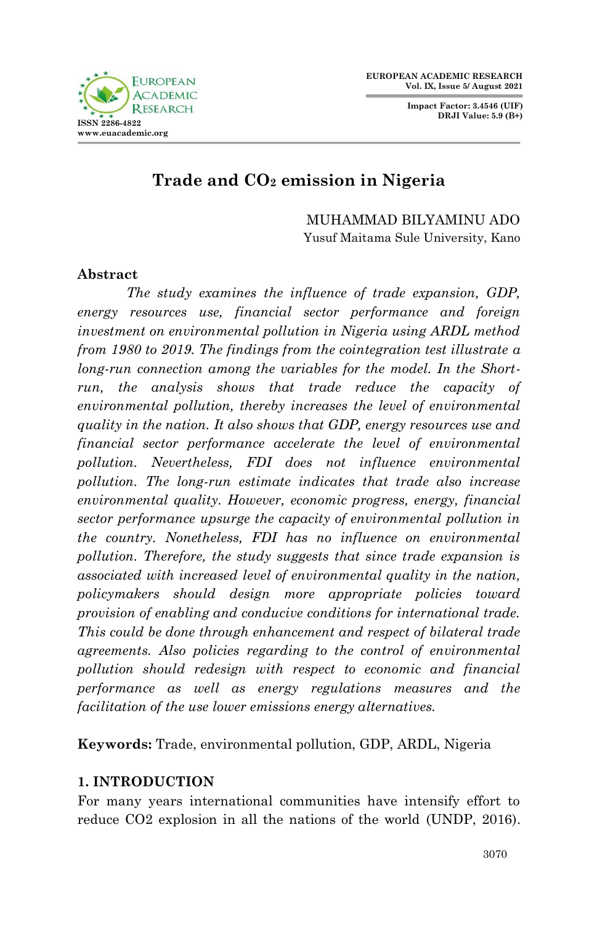**Impact Factor: 3.4546 (UIF) DRJI Value: 5.9 (B+)**



# **Trade and CO<sup>2</sup> emission in Nigeria**

MUHAMMAD BILYAMINU ADO Yusuf Maitama Sule University, Kano

## **Abstract**

*The study examines the influence of trade expansion, GDP, energy resources use, financial sector performance and foreign investment on environmental pollution in Nigeria using ARDL method from 1980 to 2019. The findings from the cointegration test illustrate a long-run connection among the variables for the model. In the Shortrun, the analysis shows that trade reduce the capacity of environmental pollution, thereby increases the level of environmental quality in the nation. It also shows that GDP, energy resources use and financial sector performance accelerate the level of environmental pollution. Nevertheless, FDI does not influence environmental pollution. The long-run estimate indicates that trade also increase environmental quality. However, economic progress, energy, financial sector performance upsurge the capacity of environmental pollution in the country. Nonetheless, FDI has no influence on environmental pollution. Therefore, the study suggests that since trade expansion is associated with increased level of environmental quality in the nation, policymakers should design more appropriate policies toward provision of enabling and conducive conditions for international trade. This could be done through enhancement and respect of bilateral trade agreements. Also policies regarding to the control of environmental pollution should redesign with respect to economic and financial performance as well as energy regulations measures and the facilitation of the use lower emissions energy alternatives.*

**Keywords:** Trade, environmental pollution, GDP, ARDL, Nigeria

## **1. INTRODUCTION**

For many years international communities have intensify effort to reduce CO2 explosion in all the nations of the world (UNDP, 2016).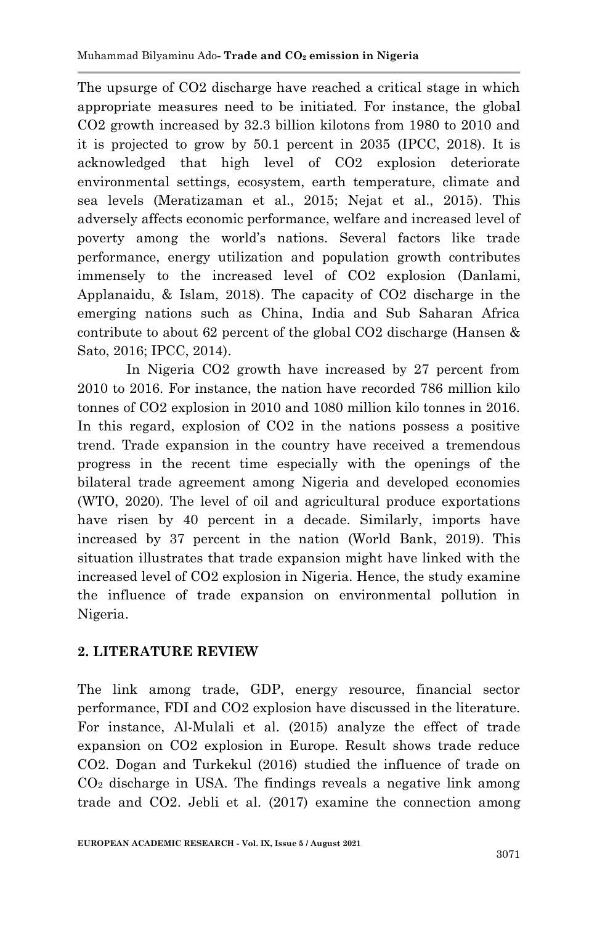The upsurge of CO2 discharge have reached a critical stage in which appropriate measures need to be initiated. For instance, the global CO2 growth increased by 32.3 billion kilotons from 1980 to 2010 and it is projected to grow by 50.1 percent in 2035 (IPCC, 2018). It is acknowledged that high level of CO2 explosion deteriorate environmental settings, ecosystem, earth temperature, climate and sea levels (Meratizaman et al., 2015; Nejat et al., 2015). This adversely affects economic performance, welfare and increased level of poverty among the world's nations. Several factors like trade performance, energy utilization and population growth contributes immensely to the increased level of CO2 explosion (Danlami, Applanaidu, & Islam, 2018). The capacity of CO2 discharge in the emerging nations such as China, India and Sub Saharan Africa contribute to about 62 percent of the global CO2 discharge (Hansen & Sato, 2016; IPCC, 2014).

In Nigeria CO2 growth have increased by 27 percent from 2010 to 2016. For instance, the nation have recorded 786 million kilo tonnes of CO2 explosion in 2010 and 1080 million kilo tonnes in 2016. In this regard, explosion of CO2 in the nations possess a positive trend. Trade expansion in the country have received a tremendous progress in the recent time especially with the openings of the bilateral trade agreement among Nigeria and developed economies (WTO, 2020). The level of oil and agricultural produce exportations have risen by 40 percent in a decade. Similarly, imports have increased by 37 percent in the nation (World Bank, 2019). This situation illustrates that trade expansion might have linked with the increased level of CO2 explosion in Nigeria. Hence, the study examine the influence of trade expansion on environmental pollution in Nigeria.

# **2. LITERATURE REVIEW**

The link among trade, GDP, energy resource, financial sector performance, FDI and CO2 explosion have discussed in the literature. For instance, Al-Mulali et al. (2015) analyze the effect of trade expansion on CO2 explosion in Europe. Result shows trade reduce CO2. Dogan and Turkekul (2016) studied the influence of trade on  $CO<sub>2</sub>$  discharge in USA. The findings reveals a negative link among trade and CO2. Jebli et al. (2017) examine the connection among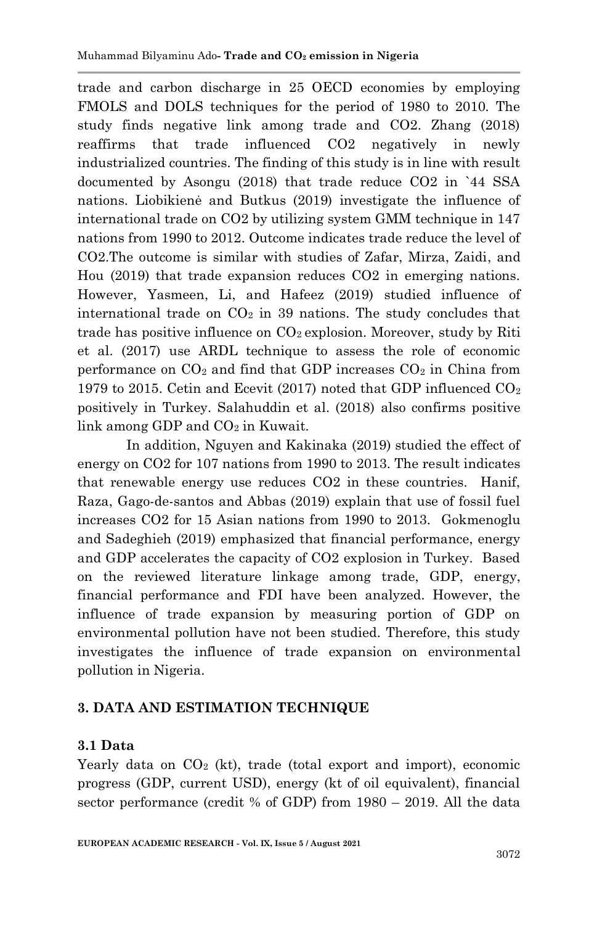trade and carbon discharge in 25 OECD economies by employing FMOLS and DOLS techniques for the period of 1980 to 2010. The study finds negative link among trade and CO2. Zhang (2018) reaffirms that trade influenced CO2 negatively in newly industrialized countries. The finding of this study is in line with result documented by Asongu (2018) that trade reduce CO2 in `44 SSA nations. Liobikienė and Butkus (2019) investigate the influence of international trade on CO2 by utilizing system GMM technique in 147 nations from 1990 to 2012. Outcome indicates trade reduce the level of CO2.The outcome is similar with studies of Zafar, Mirza, Zaidi, and Hou (2019) that trade expansion reduces CO2 in emerging nations. However, Yasmeen, Li, and Hafeez (2019) studied influence of international trade on  $CO<sub>2</sub>$  in 39 nations. The study concludes that trade has positive influence on  $CO<sub>2</sub>$  explosion. Moreover, study by Riti et al. (2017) use ARDL technique to assess the role of economic performance on  $CO<sub>2</sub>$  and find that GDP increases  $CO<sub>2</sub>$  in China from 1979 to 2015. Cetin and Ecevit (2017) noted that GDP influenced  $CO<sub>2</sub>$ positively in Turkey. Salahuddin et al. (2018) also confirms positive link among GDP and  $CO<sub>2</sub>$  in Kuwait.

In addition, Nguyen and Kakinaka (2019) studied the effect of energy on CO2 for 107 nations from 1990 to 2013. The result indicates that renewable energy use reduces CO2 in these countries. Hanif, Raza, Gago-de-santos and Abbas (2019) explain that use of fossil fuel increases CO2 for 15 Asian nations from 1990 to 2013. Gokmenoglu and Sadeghieh (2019) emphasized that financial performance, energy and GDP accelerates the capacity of CO2 explosion in Turkey. Based on the reviewed literature linkage among trade, GDP, energy, financial performance and FDI have been analyzed. However, the influence of trade expansion by measuring portion of GDP on environmental pollution have not been studied. Therefore, this study investigates the influence of trade expansion on environmental pollution in Nigeria.

# **3. DATA AND ESTIMATION TECHNIQUE**

## **3.1 Data**

Yearly data on  $CO<sub>2</sub>$  (kt), trade (total export and import), economic progress (GDP, current USD), energy (kt of oil equivalent), financial sector performance (credit % of GDP) from 1980 – 2019. All the data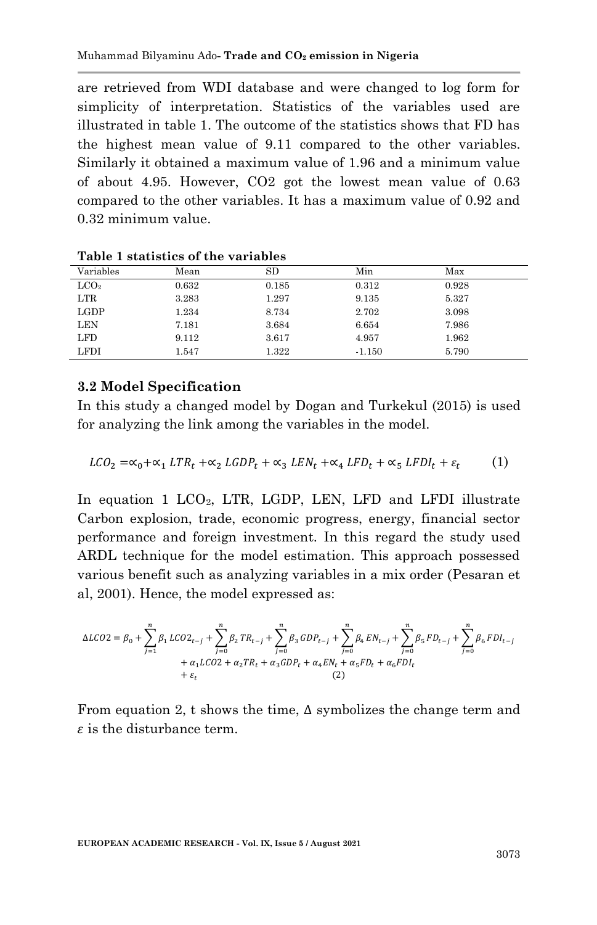are retrieved from WDI database and were changed to log form for simplicity of interpretation. Statistics of the variables used are illustrated in table 1. The outcome of the statistics shows that FD has the highest mean value of 9.11 compared to the other variables. Similarly it obtained a maximum value of 1.96 and a minimum value of about 4.95. However, CO2 got the lowest mean value of 0.63 compared to the other variables. It has a maximum value of 0.92 and 0.32 minimum value.

| Variables      | Mean  | SD    | Min      | Max   |  |
|----------------|-------|-------|----------|-------|--|
| $_{\rm LCO_2}$ | 0.632 | 0.185 | 0.312    | 0.928 |  |
| LTR            | 3.283 | 1.297 | 9.135    | 5.327 |  |
| LGDP           | 1.234 | 8.734 | 2.702    | 3.098 |  |
| <b>LEN</b>     | 7.181 | 3.684 | 6.654    | 7.986 |  |
| <b>LFD</b>     | 9.112 | 3.617 | 4.957    | 1.962 |  |
| LFDI           | 1.547 | 1.322 | $-1.150$ | 5.790 |  |

**Table 1 statistics of the variables**

#### **3.2 Model Specification**

In this study a changed model by Dogan and Turkekul (2015) is used for analyzing the link among the variables in the model.

$$
LCO_2 = \alpha_0 + \alpha_1 LTR_t + \alpha_2 LGDP_t + \alpha_3 LEN_t + \alpha_4 LFD_t + \alpha_5 LFD_t + \varepsilon_t
$$
 (1)

In equation 1 LCO<sub>2</sub>, LTR, LGDP, LEN, LFD and LFDI illustrate Carbon explosion, trade, economic progress, energy, financial sector performance and foreign investment. In this regard the study used ARDL technique for the model estimation. This approach possessed various benefit such as analyzing variables in a mix order (Pesaran et al, 2001). Hence, the model expressed as:

$$
\Delta LCO2 = \beta_0 + \sum_{j=1}^n \beta_1 \, LCO2_{t-j} + \sum_{j=0}^n \beta_2 \, TR_{t-j} + \sum_{j=0}^n \beta_3 \, GDP_{t-j} + \sum_{j=0}^n \beta_4 \, EN_{t-j} + \sum_{j=0}^n \beta_5 \, FD_{t-j} + \sum_{j=0}^n \beta_6 \, FDI_{t-j} \\ + \alpha_1 \, LCO2 + \alpha_2 TR_t + \alpha_3 GDP_t + \alpha_4 EN_t + \alpha_5 FD_t + \alpha_6 FDI_t \\ + \varepsilon_t \qquad (2)
$$

From equation 2, t shows the time,  $\Delta$  symbolizes the change term and  $\varepsilon$  is the disturbance term.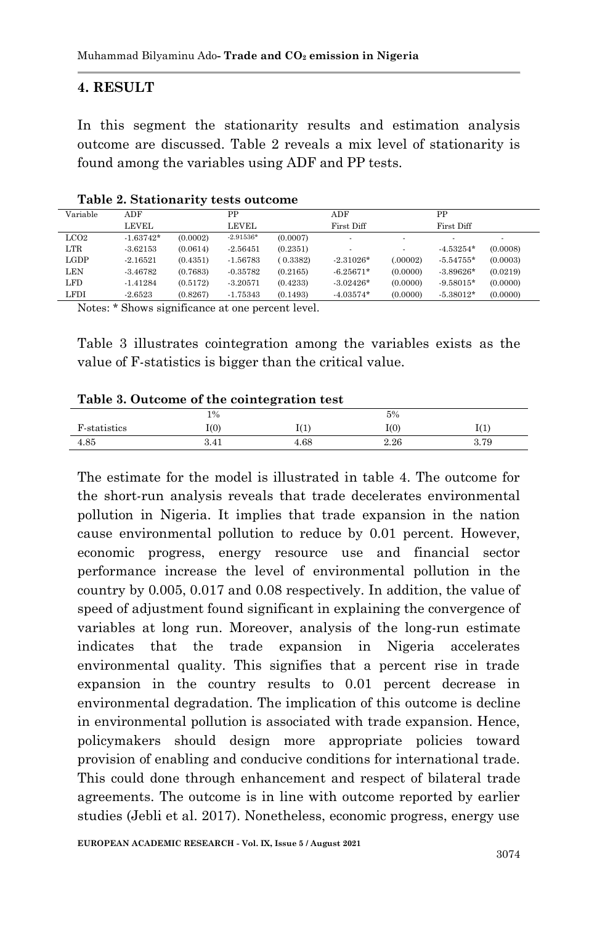#### **4. RESULT**

In this segment the stationarity results and estimation analysis outcome are discussed. Table 2 reveals a mix level of stationarity is found among the variables using ADF and PP tests.

| Variable      | ADF         |          | PP          |          | ADF            |                          | PP                       |          |
|---------------|-------------|----------|-------------|----------|----------------|--------------------------|--------------------------|----------|
|               | LEVEL       |          | LEVEL.      |          | First Diff     |                          | First Diff               |          |
| $_{\rm LCO2}$ | $-1.63742*$ | (0.0002) | $-2.91536*$ | (0.0007) | $\blacksquare$ | $\overline{\phantom{a}}$ | $\overline{\phantom{a}}$ |          |
| LTR           | $-3.62153$  | (0.0614) | $-2.56451$  | (0.2351) | $\blacksquare$ | $\overline{\phantom{a}}$ | $-4.53254*$              | (0.0008) |
| LGDP          | $-2.16521$  | (0.4351) | $-1.56783$  | (0.3382) | $-2.31026*$    | (.00002)                 | $-5.54755*$              | (0.0003) |
| LEN           | $-3.46782$  | (0.7683) | $-0.35782$  | (0.2165) | $-6.25671*$    | (0.0000)                 | $-3.89626*$              | (0.0219) |
| LFD           | $-1.41284$  | (0.5172) | $-3.20571$  | (0.4233) | $-3.02426*$    | (0.0000)                 | $-9.58015*$              | (0.0000) |
| <b>LFDI</b>   | $-2.6523$   | (0.8267) | $-1.75343$  | (0.1493) | $-4.03574*$    | (0.0000)                 | $-5.38012*$              | (0.0000) |

**Table 2. Stationarity tests outcome**

Notes: \* Shows significance at one percent level.

Table 3 illustrates cointegration among the variables exists as the value of F-statistics is bigger than the critical value.

#### **Table 3. Outcome of the cointegration test**

|              | 1%   |             | 5%        |      |
|--------------|------|-------------|-----------|------|
| F-statistics | I(0) | -43.7<br>÷, | $(0)^{7}$ | 11 T |
| 4.85         | 3.41 | 4.68        | 2.26      | 3.79 |

The estimate for the model is illustrated in table 4. The outcome for the short-run analysis reveals that trade decelerates environmental pollution in Nigeria. It implies that trade expansion in the nation cause environmental pollution to reduce by 0.01 percent. However, economic progress, energy resource use and financial sector performance increase the level of environmental pollution in the country by 0.005, 0.017 and 0.08 respectively. In addition, the value of speed of adjustment found significant in explaining the convergence of variables at long run. Moreover, analysis of the long-run estimate indicates that the trade expansion in Nigeria accelerates environmental quality. This signifies that a percent rise in trade expansion in the country results to 0.01 percent decrease in environmental degradation. The implication of this outcome is decline in environmental pollution is associated with trade expansion. Hence, policymakers should design more appropriate policies toward provision of enabling and conducive conditions for international trade. This could done through enhancement and respect of bilateral trade agreements. The outcome is in line with outcome reported by earlier studies (Jebli et al. 2017). Nonetheless, economic progress, energy use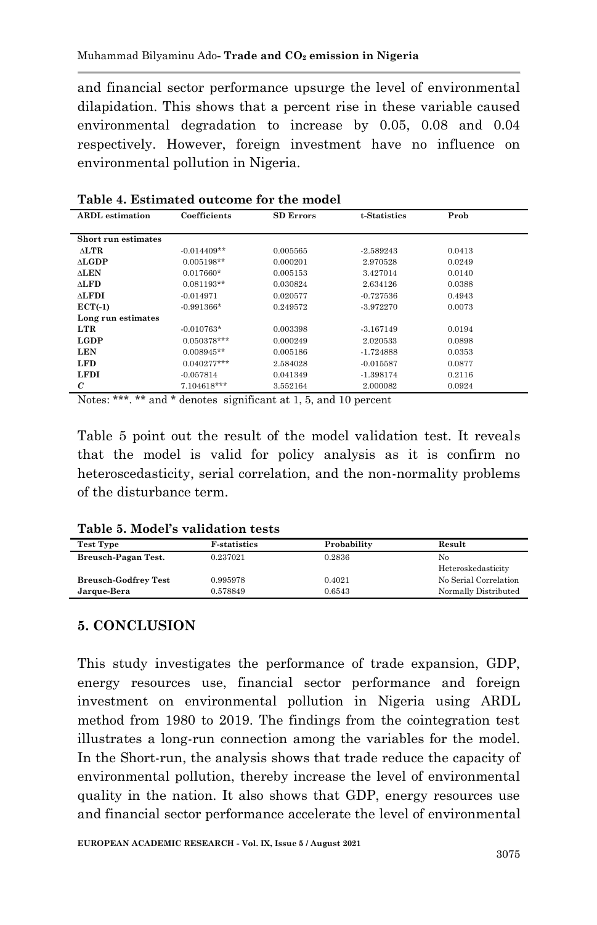and financial sector performance upsurge the level of environmental dilapidation. This shows that a percent rise in these variable caused environmental degradation to increase by 0.05, 0.08 and 0.04 respectively. However, foreign investment have no influence on environmental pollution in Nigeria.

| Coefficients<br>t-Statistics<br>Prob<br><b>ARDL</b> estimation<br><b>SD Errors</b><br>Short run estimates<br>$\triangle$ LTR<br>$-0.014409**$<br>0.005565<br>0.0413<br>$-2.589243$<br>$\Delta$ <b>LGDP</b><br>$0.005198**$<br>0.000201<br>0.0249<br>2.970528<br><b>ALEN</b><br>$0.017660*$<br>0.005153<br>3.427014<br>0.0140 | таміс т. дэншагса оагсоніс тог піс шоасі |              |          |          |        |  |  |
|------------------------------------------------------------------------------------------------------------------------------------------------------------------------------------------------------------------------------------------------------------------------------------------------------------------------------|------------------------------------------|--------------|----------|----------|--------|--|--|
|                                                                                                                                                                                                                                                                                                                              |                                          |              |          |          |        |  |  |
|                                                                                                                                                                                                                                                                                                                              |                                          |              |          |          |        |  |  |
|                                                                                                                                                                                                                                                                                                                              |                                          |              |          |          |        |  |  |
|                                                                                                                                                                                                                                                                                                                              |                                          |              |          |          |        |  |  |
|                                                                                                                                                                                                                                                                                                                              |                                          |              |          |          |        |  |  |
|                                                                                                                                                                                                                                                                                                                              |                                          |              |          |          |        |  |  |
|                                                                                                                                                                                                                                                                                                                              | <b>ALFD</b>                              | $0.081193**$ | 0.030824 | 2.634126 | 0.0388 |  |  |
| <b>ALFDI</b><br>$-0.014971$<br>0.020577<br>$-0.727536$<br>0.4943                                                                                                                                                                                                                                                             |                                          |              |          |          |        |  |  |
| $ECT(-1)$<br>$-0.991366*$<br>0.249572<br>$-3.972270$<br>0.0073                                                                                                                                                                                                                                                               |                                          |              |          |          |        |  |  |
| Long run estimates                                                                                                                                                                                                                                                                                                           |                                          |              |          |          |        |  |  |
| LTR<br>$-0.010763*$<br>0.0194<br>0.003398<br>$-3.167149$                                                                                                                                                                                                                                                                     |                                          |              |          |          |        |  |  |
| <b>LGDP</b><br>$0.050378***$<br>0.0898<br>0.000249<br>2.020533                                                                                                                                                                                                                                                               |                                          |              |          |          |        |  |  |
| <b>LEN</b><br>$0.008945**$<br>0.005186<br>0.0353<br>$-1.724888$                                                                                                                                                                                                                                                              |                                          |              |          |          |        |  |  |
| <b>LFD</b><br>$0.040277***$<br>2.584028<br>$-0.015587$<br>0.0877                                                                                                                                                                                                                                                             |                                          |              |          |          |        |  |  |
| <b>LFDI</b><br>$-0.057814$<br>0.041349<br>0.2116<br>$-1.398174$                                                                                                                                                                                                                                                              |                                          |              |          |          |        |  |  |
| $\mathcal{C}$<br>7.104618***<br>3.552164<br>0.0924<br>2.000082                                                                                                                                                                                                                                                               |                                          |              |          |          |        |  |  |

**Table 4. Estimated outcome for the model**

Notes: \*\*\*. \*\* and \* denotes significant at 1, 5, and 10 percent

Table 5 point out the result of the model validation test. It reveals that the model is valid for policy analysis as it is confirm no heteroscedasticity, serial correlation, and the non-normality problems of the disturbance term.

| Test Type                   | <b>F</b> -statistics | Probability | Result                |
|-----------------------------|----------------------|-------------|-----------------------|
| Breusch-Pagan Test.         | 0.237021             | 0.2836      | No                    |
|                             |                      |             | Heteroskedasticity    |
| <b>Breusch-Godfrey Test</b> | 0.995978             | 0.4021      | No Serial Correlation |
| Jarque-Bera                 | 0.578849             | 0.6543      | Normally Distributed  |

**Table 5. Model's validation tests**

# **5. CONCLUSION**

This study investigates the performance of trade expansion, GDP, energy resources use, financial sector performance and foreign investment on environmental pollution in Nigeria using ARDL method from 1980 to 2019. The findings from the cointegration test illustrates a long-run connection among the variables for the model. In the Short-run, the analysis shows that trade reduce the capacity of environmental pollution, thereby increase the level of environmental quality in the nation. It also shows that GDP, energy resources use and financial sector performance accelerate the level of environmental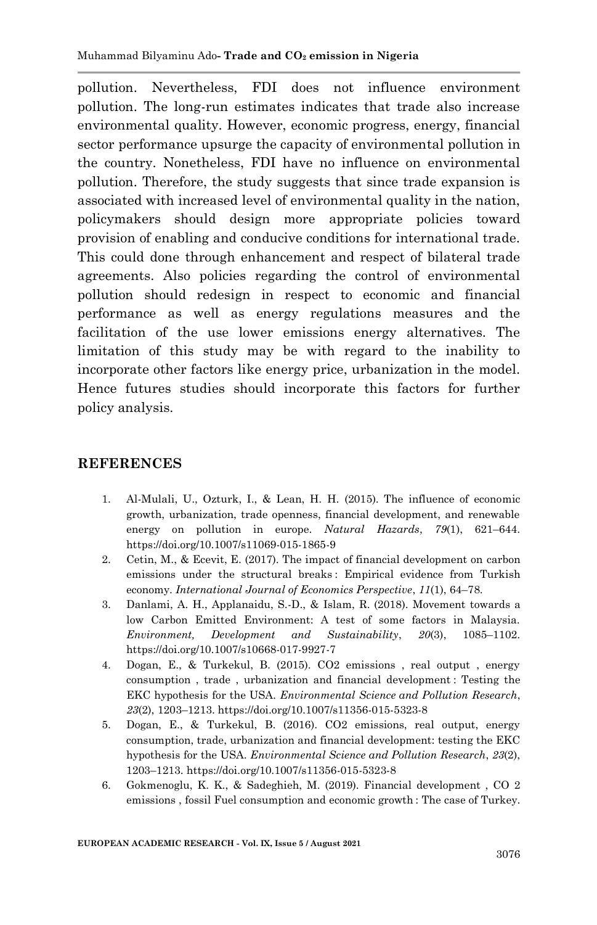pollution. Nevertheless, FDI does not influence environment pollution. The long-run estimates indicates that trade also increase environmental quality. However, economic progress, energy, financial sector performance upsurge the capacity of environmental pollution in the country. Nonetheless, FDI have no influence on environmental pollution. Therefore, the study suggests that since trade expansion is associated with increased level of environmental quality in the nation, policymakers should design more appropriate policies toward provision of enabling and conducive conditions for international trade. This could done through enhancement and respect of bilateral trade agreements. Also policies regarding the control of environmental pollution should redesign in respect to economic and financial performance as well as energy regulations measures and the facilitation of the use lower emissions energy alternatives. The limitation of this study may be with regard to the inability to incorporate other factors like energy price, urbanization in the model. Hence futures studies should incorporate this factors for further policy analysis.

## **REFERENCES**

- 1. Al-Mulali, U., Ozturk, I., & Lean, H. H. (2015). The influence of economic growth, urbanization, trade openness, financial development, and renewable energy on pollution in europe. *Natural Hazards*, *79*(1), 621–644. https://doi.org/10.1007/s11069-015-1865-9
- 2. Cetin, M., & Ecevit, E. (2017). The impact of financial development on carbon emissions under the structural breaks : Empirical evidence from Turkish economy. *International Journal of Economics Perspective*, *11*(1), 64–78.
- 3. Danlami, A. H., Applanaidu, S.-D., & Islam, R. (2018). Movement towards a low Carbon Emitted Environment: A test of some factors in Malaysia. *Environment, Development and Sustainability*, *20*(3), 1085–1102. https://doi.org/10.1007/s10668-017-9927-7
- 4. Dogan, E., & Turkekul, B. (2015). CO2 emissions , real output , energy consumption , trade , urbanization and financial development : Testing the EKC hypothesis for the USA. *Environmental Science and Pollution Research*, *23*(2), 1203–1213. https://doi.org/10.1007/s11356-015-5323-8
- 5. Dogan, E., & Turkekul, B. (2016). CO2 emissions, real output, energy consumption, trade, urbanization and financial development: testing the EKC hypothesis for the USA. *Environmental Science and Pollution Research*, *23*(2), 1203–1213. https://doi.org/10.1007/s11356-015-5323-8
- 6. Gokmenoglu, K. K., & Sadeghieh, M. (2019). Financial development , CO 2 emissions , fossil Fuel consumption and economic growth : The case of Turkey.